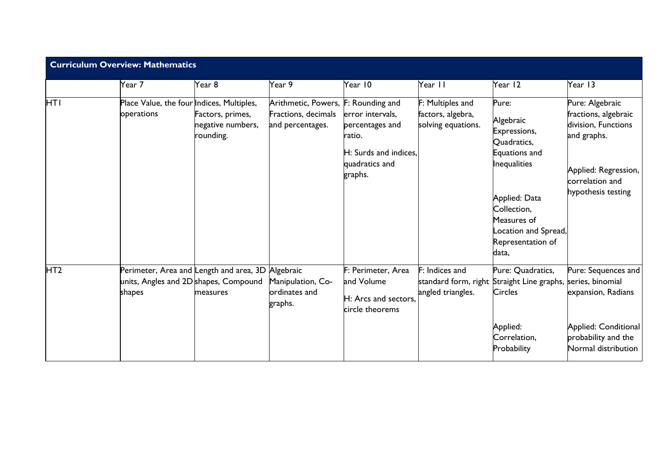| <b>Curriculum Overview: Mathematics</b> |                                                         |                                                               |                                                                                |                                                                                                     |                                                             |                                                                                                                                                                                         |                                                                                                                                                |  |
|-----------------------------------------|---------------------------------------------------------|---------------------------------------------------------------|--------------------------------------------------------------------------------|-----------------------------------------------------------------------------------------------------|-------------------------------------------------------------|-----------------------------------------------------------------------------------------------------------------------------------------------------------------------------------------|------------------------------------------------------------------------------------------------------------------------------------------------|--|
|                                         | Year 7                                                  | Year 8                                                        | Year 9                                                                         | Year 10                                                                                             | Year II                                                     | Year 12                                                                                                                                                                                 | Year 13                                                                                                                                        |  |
| <b>HTI</b>                              | Place Value, the four Indices, Multiples,<br>operations | Factors, primes,<br>negative numbers,<br>ounding.             | Arithmetic, Powers, F: Rounding and<br>Fractions, decimals<br>and percentages. | error intervals,<br>percentages and<br>ratio.<br>H: Surds and indices,<br>quadratics and<br>graphs. | F: Multiples and<br>factors, algebra,<br>solving equations. | Pure:<br>Algebraic<br>Expressions,<br>Quadratics,<br>Equations and<br>Inequalities<br>Applied: Data<br>Collection,<br>Measures of<br>Location and Spread,<br>Representation of<br>data, | Pure: Algebraic<br>fractions, algebraic<br>division, Functions<br>and graphs.<br>Applied: Regression,<br>correlation and<br>hypothesis testing |  |
| HT <sub>2</sub>                         | units, Angles and 2D shapes, Compound<br>shapes         | Perimeter, Area and Length and area, 3D Algebraic<br>measures | Manipulation, Co-<br>ordinates and<br>graphs.                                  | F: Perimeter, Area<br>and Volume<br>H: Arcs and sectors,<br>circle theorems                         | F: Indices and<br>angled triangles.                         | Pure: Quadratics,<br>standard form, right Straight Line graphs, series, binomial<br><b>Circles</b><br>Applied:<br>Correlation,<br>Probability                                           | Pure: Sequences and<br>expansion, Radians<br>Applied: Conditional<br>probability and the<br>Normal distribution                                |  |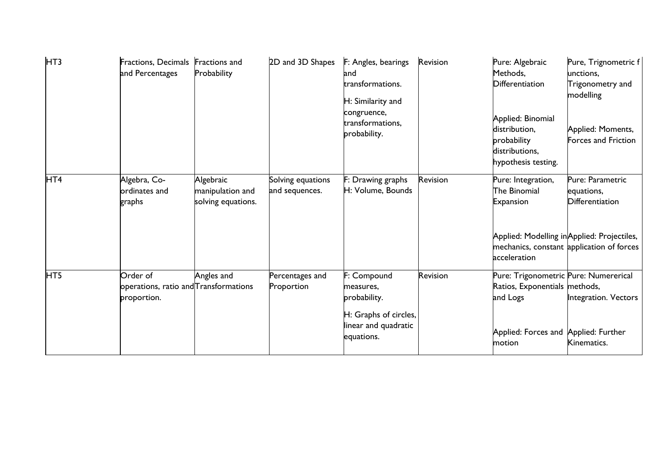| HT <sub>3</sub> | Fractions, Decimals Fractions and<br>and Percentages             | Probability                                         | 2D and 3D Shapes                    | F: Angles, bearings<br>and<br>transformations.<br>H: Similarity and<br>congruence,<br>transformations,<br>probability. | Revision | Pure: Algebraic<br>Methods.<br>Differentiation<br>Applied: Binomial<br>distribution,<br>probability<br>distributions,<br>hypothesis testing. | Pure, Trignometric f<br>unctions,<br>Trigonometry and<br>modelling<br>Applied: Moments,<br>Forces and Friction |
|-----------------|------------------------------------------------------------------|-----------------------------------------------------|-------------------------------------|------------------------------------------------------------------------------------------------------------------------|----------|----------------------------------------------------------------------------------------------------------------------------------------------|----------------------------------------------------------------------------------------------------------------|
| HT4             | Algebra, Co-<br>ordinates and<br>graphs                          | Algebraic<br>manipulation and<br>solving equations. | Solving equations<br>and sequences. | Drawing graphs<br>H: Volume, Bounds                                                                                    | Revision | Pure: Integration,<br>The Binomial<br>Expansion<br>Applied: Modelling in Applied: Projectiles,                                               | Pure: Parametric<br>equations,<br>Differentiation                                                              |
|                 |                                                                  |                                                     |                                     |                                                                                                                        |          | acceleration                                                                                                                                 | mechanics, constant application of forces                                                                      |
| HT5             | Order of<br>operations, ratio and Transformations<br>proportion. | Angles and                                          | Percentages and<br>Proportion       | F: Compound<br>measures,<br>probability.                                                                               | Revision | Pure: Trigonometric Pure: Numererical<br>Ratios, Exponentials methods,<br>and Logs                                                           | Integration. Vectors                                                                                           |
|                 |                                                                  |                                                     |                                     | H: Graphs of circles,<br>linear and quadratic<br>equations.                                                            |          | Applied: Forces and Applied: Further<br>motion                                                                                               | Kinematics.                                                                                                    |